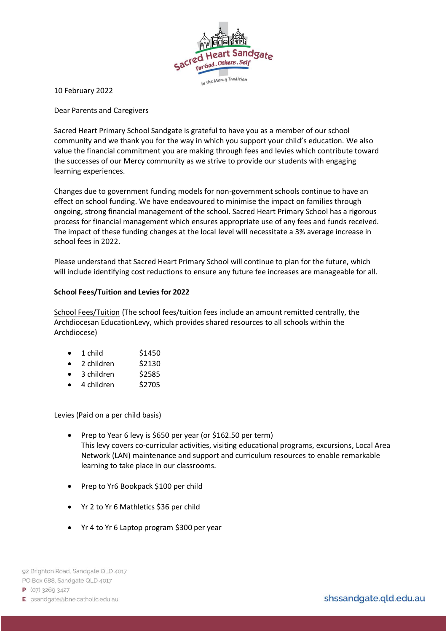

10 February 2022

Dear Parents and Caregivers

Sacred Heart Primary School Sandgate is grateful to have you as a member of our school community and we thank you for the way in which you support your child's education. We also value the financial commitment you are making through fees and levies which contribute toward the successes of our Mercy community as we strive to provide our students with engaging learning experiences.

Changes due to government funding models for non-government schools continue to have an effect on school funding. We have endeavoured to minimise the impact on families through ongoing, strong financial management of the school. Sacred Heart Primary School has a rigorous process for financial management which ensures appropriate use of any fees and funds received. The impact of these funding changes at the local level will necessitate a 3% average increase in school fees in 2022.

Please understand that Sacred Heart Primary School will continue to plan for the future, which will include identifying cost reductions to ensure any future fee increases are manageable for all.

## **School Fees/Tuition and Leviesfor 2022**

School Fees/Tuition (The school fees/tuition fees include an amount remitted centrally, the Archdiocesan EducationLevy, which provides shared resources to all schools within the Archdiocese)

| 1 child | \$1450 |
|---------|--------|
|---------|--------|

- $\bullet$  2 children  $\frac{2}{3}$ 2130
- 3 children \$2585
- $\bullet$  4 children \$2705

## Levies (Paid on a per child basis)

- Prep to Year 6 levy is \$650 per year (or \$162.50 per term) This levy covers co-curricular activities, visiting educational programs, excursions, Local Area Network (LAN) maintenance and support and curriculum resources to enable remarkable learning to take place in our classrooms.
- Prep to Yr6 Bookpack \$100 per child
- Yr 2 to Yr 6 Mathletics \$36 per child
- Yr 4 to Yr 6 Laptop program \$300 per year

 $P$  (07) 3269 3427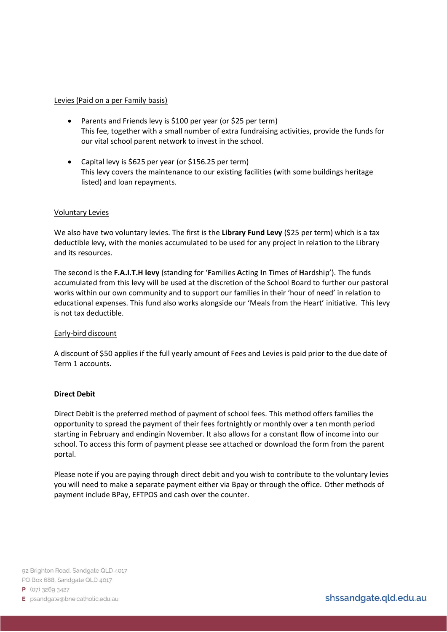### Levies (Paid on a per Family basis)

- Parents and Friends levy is \$100 per year (or \$25 per term) This fee, together with a small number of extra fundraising activities, provide the funds for our vital school parent network to invest in the school.
- Capital levy is \$625 per year (or \$156.25 per term) This levy covers the maintenance to our existing facilities (with some buildings heritage listed) and loan repayments.

## Voluntary Levies

We also have two voluntary levies. The first is the Library Fund Levy (\$25 per term) which is a tax deductible levy, with the monies accumulated to be used for any project in relation to the Library and its resources.

The second is the **F.A.I.T.H levy** (standing for '**F**amilies **A**cting **I**n **T**imes of **H**ardship'). The funds accumulated from this levy will be used at the discretion of the School Board to further our pastoral works within our own community and to support our families in their 'hour of need' in relation to educational expenses. This fund also works alongside our 'Meals from the Heart' initiative. This levy is not tax deductible.

#### Early-bird discount

A discount of \$50 applies if the full yearly amount of Fees and Levies is paid prior to the due date of Term 1 accounts.

#### **Direct Debit**

Direct Debit is the preferred method of payment of school fees. This method offers families the opportunity to spread the payment of their fees fortnightly or monthly over a ten month period starting in February and endingin November. It also allows for a constant flow of income into our school. To access this form of payment please see attached or download the form from the parent portal.

Please note if you are paying through direct debit and you wish to contribute to the voluntary levies you will need to make a separate payment either via Bpay or through the office. Other methods of payment include BPay, EFTPOS and cash over the counter.

92 Brighton Road, Sandgate QLD 4017 PO Box 688, Sandgate QLD 4017

 $P$  (07) 3269 3427

E psandgate@bne.catholic.edu.au

shssandgate.qld.edu.au